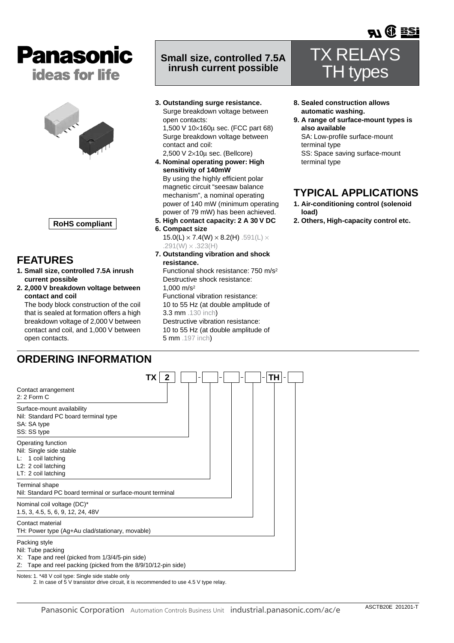



**RoHS compliant**

## **FEATURES**

- **1. Small size, controlled 7.5A inrush current possible**
- **2. 2,000 V breakdown voltage between contact and coil**

The body block construction of the coil that is sealed at formation offers a high breakdown voltage of 2,000 V between contact and coil, and 1,000 V between open contacts.

## **Small size, controlled 7.5A inrush current possible**

**3. Outstanding surge resistance.** Surge breakdown voltage between open contacts: 1,500 V 10×160µ sec. (FCC part 68) Surge breakdown voltage between

contact and coil: 2,500 V 2×10µ sec. (Bellcore)

- **4. Nominal operating power: High sensitivity of 140mW** By using the highly efficient polar magnetic circuit "seesaw balance mechanism", a nominal operating power of 140 mW (minimum operating power of 79 mW) has been achieved.
- **5. High contact capacity: 2 A 30 V DC**
- **6. Compact size** 15.0(L)  $\times$  7.4(W)  $\times$  8.2(H) .591(L)  $\times$  $.291(W) \times .323(H)$
- **7. Outstanding vibration and shock resistance.**

Functional shock resistance: 750 m/s2 Destructive shock resistance: 1,000 m/s2 Functional vibration resistance: 10 to 55 Hz (at double amplitude of 3.3 mm .130 inch) Destructive vibration resistance: 10 to 55 Hz (at double amplitude of 5 mm .197 inch)

TX RELAYS TH types

**TH** OF **EST** 

- **8. Sealed construction allows automatic washing.**
- **9. A range of surface-mount types is also available**

SA: Low-profile surface-mount terminal type SS: Space saving surface-mount terminal type

# **TYPICAL APPLICATIONS**

- **1. Air-conditioning control (solenoid load)**
- **2. Others, High-capacity control etc.**

# **ORDERING INFORMATION**

|                                                                                                                                                           |  | TΗ |
|-----------------------------------------------------------------------------------------------------------------------------------------------------------|--|----|
| Contact arrangement<br>$2:2$ Form C                                                                                                                       |  |    |
| Surface-mount availability<br>Nil: Standard PC board terminal type<br>SA: SA type<br>SS: SS type                                                          |  |    |
| Operating function<br>Nil: Single side stable<br>$L: 1$ coil latching<br>L2: 2 coil latching<br>LT: 2 coil latching                                       |  |    |
| Terminal shape<br>Nil: Standard PC board terminal or surface-mount terminal                                                                               |  |    |
| Nominal coil voltage (DC)*<br>1.5, 3, 4.5, 5, 6, 9, 12, 24, 48V                                                                                           |  |    |
| Contact material<br>TH: Power type (Ag+Au clad/stationary, movable)                                                                                       |  |    |
| Packing style<br>Nil: Tube packing<br>X: Tape and reel (picked from 1/3/4/5-pin side)<br>Tape and reel packing (picked from the 8/9/10/12-pin side)<br>Z: |  |    |

Notes: 1. \*48 V coil type: Single side stable only 2. In case of 5 V transistor drive circuit, it is recommended to use 4.5 V type relay.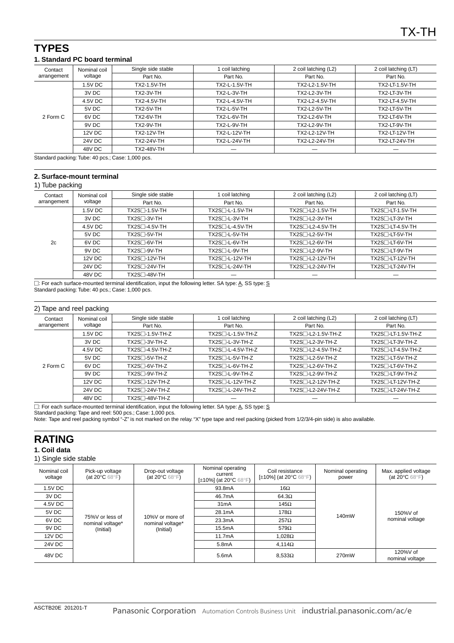## **TYPES**

## **1. Standard PC board terminal**

| Nominal coil<br>Contact | Single side stable | coil latching      | 2 coil latching (L2) | 2 coil latching (LT) |                       |
|-------------------------|--------------------|--------------------|----------------------|----------------------|-----------------------|
| arrangement             | voltage            | Part No.           | Part No.             | Part No.             | Part No.              |
|                         | 1.5V DC            | <b>TX2-1.5V-TH</b> | TX2-L-1.5V-TH        | TX2-L2-1.5V-TH       | <b>TX2-LT-1.5V-TH</b> |
|                         | 3V DC              | <b>TX2-3V-TH</b>   | <b>TX2-L-3V-TH</b>   | TX2-L2-3V-TH         | TX2-LT-3V-TH          |
| 2 Form C                | 4.5V DC            | TX2-4.5V-TH        | TX2-L-4.5V-TH        | TX2-L2-4.5V-TH       | TX2-LT-4.5V-TH        |
|                         | 5V DC              | <b>TX2-5V-TH</b>   | <b>TX2-L-5V-TH</b>   | TX2-L2-5V-TH         | TX2-LT-5V-TH          |
|                         | 6V DC              | <b>TX2-6V-TH</b>   | <b>TX2-L-6V-TH</b>   | TX2-L2-6V-TH         | TX2-LT-6V-TH          |
|                         | 9V DC              | <b>TX2-9V-TH</b>   | <b>TX2-L-9V-TH</b>   | TX2-L2-9V-TH         | TX2-LT-9V-TH          |
|                         | 12V DC             | TX2-12V-TH         | <b>TX2-L-12V-TH</b>  | TX2-L2-12V-TH        | <b>TX2-LT-12V-TH</b>  |
|                         | <b>24V DC</b>      | TX2-24V-TH         | <b>TX2-L-24V-TH</b>  | TX2-L2-24V-TH        | <b>TX2-LT-24V-TH</b>  |
|                         | 48V DC             | TX2-48V-TH         |                      |                      |                       |
|                         |                    |                    |                      |                      |                       |

Standard packing: Tube: 40 pcs.; Case: 1,000 pcs.

### **2. Surface-mount terminal**

#### 1) Tube packing

|                        | $\overline{\phantom{0}}$ |                                     |                            |                      |                              |
|------------------------|--------------------------|-------------------------------------|----------------------------|----------------------|------------------------------|
| Contact<br>arrangement | Nominal coil<br>voltage  | Single side stable<br>coil latching |                            | 2 coil latching (L2) | 2 coil latching (LT)         |
|                        |                          | Part No.                            | Part No.                   | Part No.             | Part No.                     |
|                        | 1.5V DC                  | TX2S□-1.5V-TH                       | $TX2S$ $\neg$ -L-1.5V-TH   | TX2S□-L2-1.5V-TH     | TX2S□-LT-1.5V-TH             |
|                        | 3V DC                    | TX2S <sub>13</sub> V-TH             | TX2S□-L-3V-TH              | TX2S□-L2-3V-TH       | TX2S <sub>T</sub> -LT-3V-TH  |
| 2c                     | 4.5V DC                  | $TX2S\Box -4.5V-TH$                 | TX2S□-L-4.5V-TH            | TX2S□-L2-4.5V-TH     | TX2S□-LT-4.5V-TH             |
|                        | 5V DC                    | $TX2S$ $-5V-TH$                     | TX2S <sub>T</sub> -L-5V-TH | TX2S□-L2-5V-TH       | TX2S <sub>-LT-5V-TH</sub>    |
|                        | 6V DC                    | TX2S <sub>16V</sub> -TH             | $TX2S$ $\neg L-6V-TH$      | TX2S□-L2-6V-TH       | TX2S <sub>T</sub> -LT-6V-TH  |
|                        | 9V DC                    | TX2S□-9V-TH                         | $TX2S$ $\neg$ -L-9V-TH     | TX2S□-L2-9V-TH       | TX2S□-LT-9V-TH               |
|                        | 12V DC                   | $TX2S$ -12V-TH                      | TX2S□-L-12V-TH             | TX2S□-L2-12V-TH      | TX2S□-LT-12V-TH              |
|                        | 24V DC                   | $TX2S$ -24V-TH                      | TX2S□-L-24V-TH             | TX2S□-L2-24V-TH      | TX2S <sub>T</sub> -LT-24V-TH |
|                        | 48V DC                   | TX2S□-48V-TH                        |                            |                      |                              |

□: For each surface-mounted terminal identification, input the following letter. SA type: A, SS type: S Standard packing: Tube: 40 pcs.; Case: 1,000 pcs.

### 2) Tape and reel packing

| Contact     | Nominal coil<br>voltage | Single side stable<br>coil latching |                              | 2 coil latching (L2)                         | 2 coil latching (LT)            |
|-------------|-------------------------|-------------------------------------|------------------------------|----------------------------------------------|---------------------------------|
| arrangement |                         | Part No.                            | Part No.                     | Part No.                                     | Part No.                        |
|             | 1.5V DC                 | TX2S□-1.5V-TH-Z                     | TX2S <sup>-L-1.5V-TH-Z</sup> | TX2S□-L2-1.5V-TH-Z                           | TX2S <sub>1</sub> -LT-1.5V-TH-Z |
|             | 3V DC                   | $TX2S\Box 3V-TH-Z$                  | $TX2S$ $-L-3V-TH-Z$          | TX2S□-L2-3V-TH-Z                             | TX2S <sub>T</sub> -LT-3V-TH-Z   |
| 2 Form C    | 4.5V DC                 | TX2S□-4.5V-TH-Z                     | TX2S□-L-4.5V-TH-Z            | TX2S <sub>1</sub> -L <sub>2</sub> -4.5V-TH-Z | TX2S <sub>-LT-4.5</sub> V-TH-Z  |
|             | 5V DC                   | $TX2S\Box$ -5V-TH-Z                 | $TX2S$ $-L-5V-TH-Z$          | $TX2S$ $-L2-5V$ -TH-Z                        | TX2S <sub>T</sub> -LT-5V-TH-Z   |
|             | 6V DC                   | $TX2S\Box$ -6V-TH-Z                 | $TX2S$ -L-6V-TH-Z            | TX2S <sup>-1</sup> -L2-6V-TH-Z               | TX2S <sup>-LT-6V-TH-Z</sup>     |
|             | 9V DC                   | $TX2S\Box - 9V-TH-Z$                | $TX2S$ -L-9V-TH-Z            | TX2S□-L2-9V-TH-Z                             | TX2S <sup>-LT-9V-TH-Z</sup>     |
|             | 12V DC                  | TX2S□-12V-TH-Z                      | TX2S□-L-12V-TH-Z             | TX2S□-L2-12V-TH-Z                            | TX2S□-LT-12V-TH-Z               |
|             | 24V DC                  | $TX2S\Box 24V-TH-Z$                 | TX2S□-L-24V-TH-Z             | TX2S□-L2-24V-TH-Z                            | TX2S□-LT-24V-TH-Z               |
|             | 48V DC                  | TX2S□-48V-TH-Z                      |                              |                                              |                                 |

 $\square$ : For each surface-mounted terminal identification, input the following letter. SA type:  $\underline{A}$ , SS type:  $\underline{S}$ 

Standard packing: Tape and reel: 500 pcs.; Case: 1,000 pcs.

Note: Tape and reel packing symbol "-Z" is not marked on the relay. "X" type tape and reel packing (picked from 1/2/3/4-pin side) is also available.

# **RATING**

## **1. Coil data**

### 1) Single side stable

| Nominal coil<br>voltage | Pick-up voltage<br>(at 20 $\mathrm{^{\circ}C}$ 68 $\mathrm{^{\circ}F}$ ) | Drop-out voltage<br>(at 20 $\mathrm{^{\circ}C}$ 68 $\mathrm{^{\circ}F}$ ) | Nominal operating<br>current<br>[±10%] (at 20°C 68°F) | Coil resistance<br>[ $\pm$ 10%] (at 20 $^{\circ}$ C 68 $^{\circ}$ F) | Nominal operating<br>power | Max. applied voltage<br>(at 20 $\mathrm{^{\circ}C}$ 68 $\mathrm{^{\circ}F}$ ) |
|-------------------------|--------------------------------------------------------------------------|---------------------------------------------------------------------------|-------------------------------------------------------|----------------------------------------------------------------------|----------------------------|-------------------------------------------------------------------------------|
| 1.5V DC                 |                                                                          |                                                                           | 93.8mA                                                | 16 $\Omega$                                                          |                            |                                                                               |
| 3V DC                   |                                                                          |                                                                           | 46.7mA                                                | $64.3\Omega$                                                         |                            |                                                                               |
| 4.5V DC                 |                                                                          |                                                                           | 31mA                                                  | 145 $\Omega$                                                         |                            |                                                                               |
| 5V DC                   | 75%V or less of<br>10%V or more of<br>nominal voltage*                   |                                                                           | 28.1mA                                                | $178\Omega$                                                          | 140mW                      | 150%V of<br>nominal voltage                                                   |
| 6V DC                   |                                                                          | nominal voltage*                                                          | 23.3mA                                                | $257\Omega$                                                          |                            |                                                                               |
| 9V DC                   | (Initial)                                                                | (Initial)                                                                 | 15.5mA                                                | $579\Omega$                                                          |                            |                                                                               |
| 12V DC                  |                                                                          | 11.7mA                                                                    | $1.028\Omega$                                         |                                                                      |                            |                                                                               |
| <b>24V DC</b>           |                                                                          |                                                                           | 5.8 <sub>m</sub> A                                    | $4.114\Omega$                                                        |                            |                                                                               |
| 48V DC                  |                                                                          |                                                                           | 5.6 <sub>m</sub> A                                    | $8.533\Omega$                                                        | 270mW                      | 120%V of<br>nominal voltage                                                   |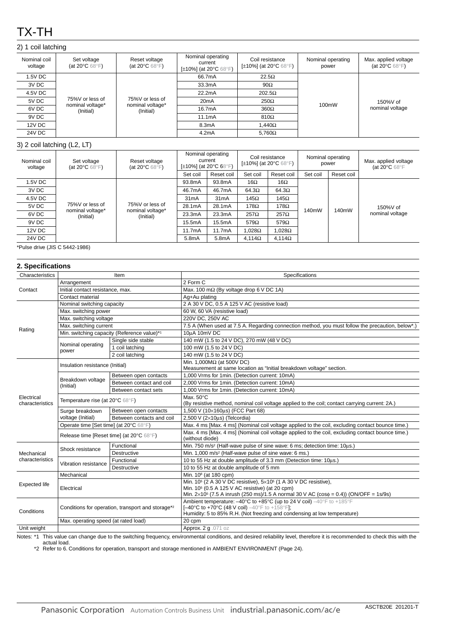# TX-TH

## 2) 1 coil latching

| Nominal coil<br>voltage | Set voltage<br>(at 20 $\mathrm{^{\circ}C}$ 68 $\mathrm{^{\circ}F}$ ) | Reset voltage<br>(at 20 $\mathrm{^{\circ}C}$ 68 $\mathrm{^{\circ}F}$ ) | Nominal operating<br>current<br>[±10%] (at 20°C 68°F) | Coil resistance<br>[ $\pm$ 10%] (at 20 $^{\circ}$ C 68 $^{\circ}$ F) | Nominal operating<br>power | Max. applied voltage<br>(at 20 $\mathrm{^{\circ}C}$ 68 $\mathrm{^{\circ}F}$ ) |
|-------------------------|----------------------------------------------------------------------|------------------------------------------------------------------------|-------------------------------------------------------|----------------------------------------------------------------------|----------------------------|-------------------------------------------------------------------------------|
| 1.5V DC                 |                                                                      |                                                                        | 66.7mA                                                | $22.5\Omega$                                                         |                            |                                                                               |
| 3V DC                   |                                                                      |                                                                        | 33.3mA                                                | $90\Omega$                                                           |                            |                                                                               |
| 4.5V DC                 |                                                                      |                                                                        | 22.2mA                                                | $202.5\Omega$                                                        |                            |                                                                               |
| 5V DC                   | 75%V or less of<br>nominal voltage*                                  | 75%V or less of<br>nominal voltage*                                    | 20 <sub>m</sub> A                                     | $250\Omega$                                                          | 100mW                      | 150%V of                                                                      |
| 6V DC                   | (Initial)                                                            | (Initial)                                                              | 16.7mA                                                | $360\Omega$                                                          |                            | nominal voltage                                                               |
| 9V DC                   |                                                                      |                                                                        | 11.1mA                                                | $810\Omega$                                                          |                            |                                                                               |
| 12V DC                  |                                                                      |                                                                        | 8.3mA                                                 | $1.440\Omega$                                                        |                            |                                                                               |
| 24V DC                  |                                                                      |                                                                        | 4.2mA                                                 | $5.760\Omega$                                                        |                            |                                                                               |

### 3) 2 coil latching (L2, LT)

| Nominal coil<br>voltage | Set voltage<br>Reset voltage<br>(at 20 $\mathrm{^{\circ}C}$ 68 $\mathrm{^{\circ}F}$ )<br>(at 20 $\mathrm{^{\circ}C}$ 68 $\mathrm{^{\circ}F}$ ) |                               |                    | Nominal operating<br>current<br>[ $\pm$ 10%] (at 20 $\degree$ C 68 $\degree$ F) |               | Coil resistance<br>[ $\pm$ 10%] (at 20 $\degree$ C 68 $\degree$ F) |                | Nominal operating<br>power | Max. applied voltage<br>(at 20°C 68°F |
|-------------------------|------------------------------------------------------------------------------------------------------------------------------------------------|-------------------------------|--------------------|---------------------------------------------------------------------------------|---------------|--------------------------------------------------------------------|----------------|----------------------------|---------------------------------------|
|                         |                                                                                                                                                |                               | Set coil           | Reset coil                                                                      | Set coil      | Reset coil                                                         | Set coil       | Reset coil                 |                                       |
| 1.5V DC                 |                                                                                                                                                |                               | 93.8mA             | 93.8mA                                                                          | 16 $\Omega$   | 16 $\Omega$                                                        |                |                            |                                       |
| 3V DC                   | 75%V or less of<br>nominal voltage*<br>(Initial)                                                                                               | 75%V or less of               | 46.7mA             | 46.7mA                                                                          | $64.3\Omega$  | $64.3\Omega$                                                       | 140mW<br>140mW |                            |                                       |
| 4.5V DC                 |                                                                                                                                                |                               | 31mA               | 31mA                                                                            | 145Ω          | 145 $\Omega$                                                       |                |                            |                                       |
| 5V DC                   |                                                                                                                                                |                               | 28.1mA             | 28.1mA                                                                          | 178 $\Omega$  | $178\Omega$                                                        |                | 150%V of                   |                                       |
| 6V DC                   |                                                                                                                                                | nominal voltage*<br>(Initial) | 23.3mA             | 23.3mA                                                                          | $257\Omega$   | $257\Omega$                                                        |                |                            | nominal voltage                       |
| 9V DC                   |                                                                                                                                                |                               | 15.5mA             | 15.5mA                                                                          | $579\Omega$   | $579\Omega$                                                        |                |                            |                                       |
| 12V DC                  |                                                                                                                                                |                               | 11.7mA             | 11.7mA                                                                          | $.028\Omega$  | 1.028 $\Omega$                                                     |                |                            |                                       |
| <b>24V DC</b>           |                                                                                                                                                |                               | 5.8 <sub>m</sub> A | 5.8 <sub>m</sub> A                                                              | $4.114\Omega$ | $4.114\Omega$                                                      |                |                            |                                       |

\*Pulse drive (JIS C 5442-1986)

| Specifications<br>Characteristics<br>Item<br>2 Form C<br>Arrangement<br>Max. 100 m $\Omega$ (By voltage drop 6 V DC 1A)<br>Contact<br>Initial contact resistance, max.<br>Contact material<br>Ag+Au plating<br>2 A 30 V DC, 0.5 A 125 V AC (resistive load)<br>Nominal switching capacity<br>Max. switching power<br>60 W, 60 VA (resistive load)<br>Max. switching voltage<br>220V DC, 250V AC<br>Max. switching current<br>Rating<br>Min. switching capacity (Reference value)*1<br>10µA 10mV DC<br>140 mW (1.5 to 24 V DC), 270 mW (48 V DC)<br>Single side stable<br>Nominal operating<br>100 mW (1.5 to 24 V DC)<br>1 coil latching<br>power<br>2 coil latching<br>140 mW (1.5 to 24 V DC)<br>Min. 1,000M $\Omega$ (at 500V DC)<br>Insulation resistance (Initial)<br>Measurement at same location as "Initial breakdown voltage" section.<br>1,000 Vrms for 1min. (Detection current: 10mA)<br>Between open contacts<br>Breakdown voltage<br>Between contact and coil<br>2,000 Vrms for 1min. (Detection current: 10mA)<br>(Initial)<br>1,000 Vrms for 1min. (Detection current: 10mA)<br>Between contact sets<br>Max. 50°C<br>Electrical<br>Temperature rise (at 20°C 68°F)<br>characteristics<br>(By resistive method, nominal coil voltage applied to the coil; contact carrying current: 2A.)<br>1,500 V (10×160us) (FCC Part 68)<br>Between open contacts<br>Surge breakdown<br>voltage (Initial)<br>2,500 V (2×10us) (Telcordia)<br>Between contacts and coil<br>Max. 4 ms [Max. 4 ms] (Nominal coil voltage applied to the coil, excluding contact bounce time.)<br>Operate time [Set time] (at 20°C 68°F)<br>Max. 4 ms [Max. 4 ms] (Nominal coil voltage applied to the coil, excluding contact bounce time.)<br>Release time [Reset time] (at 20°C 68°F)<br>(without diode)<br>Min. 750 m/s <sup>2</sup> (Half-wave pulse of sine wave: 6 ms; detection time: 10µs.)<br>Functional<br>Shock resistance<br>Min. 1,000 m/s <sup>2</sup> (Half-wave pulse of sine wave: 6 ms.)<br>Destructive<br>Mechanical<br>characteristics<br>10 to 55 Hz at double amplitude of 3.3 mm (Detection time: 10us.)<br>Functional<br>Vibration resistance<br>10 to 55 Hz at double amplitude of 5 mm<br><b>Destructive</b><br>Mechanical<br>Min. 10 <sup>8</sup> (at 180 cpm)<br>Min. 10 <sup>5</sup> (2 A 30 V DC resistive), 5×10 <sup>5</sup> (1 A 30 V DC resistive),<br><b>Expected life</b><br>Min. 10 <sup>5</sup> (0.5 A 125 V AC resistive) (at 20 cpm)<br>Electrical<br>Min. $2 \times 10^5$ (7.5 A inrush (250 ms)/1.5 A normal 30 V AC (cos $\phi = 0.4$ )) (ON/OFF = 1s/9s)<br>Ambient temperature: $-40^{\circ}$ C to $+85^{\circ}$ C (up to 24 V coil) $-40^{\circ}$ F to $+185^{\circ}$ F<br>[-40°C to +70°C (48 V coil) -40°F to +158°F];<br>Conditions for operation, transport and storage*2<br>Conditions<br>Humidity: 5 to 85% R.H. (Not freezing and condensing at low temperature) | 2. Specifications |                                      |  |                                                                                                  |  |  |  |
|-------------------------------------------------------------------------------------------------------------------------------------------------------------------------------------------------------------------------------------------------------------------------------------------------------------------------------------------------------------------------------------------------------------------------------------------------------------------------------------------------------------------------------------------------------------------------------------------------------------------------------------------------------------------------------------------------------------------------------------------------------------------------------------------------------------------------------------------------------------------------------------------------------------------------------------------------------------------------------------------------------------------------------------------------------------------------------------------------------------------------------------------------------------------------------------------------------------------------------------------------------------------------------------------------------------------------------------------------------------------------------------------------------------------------------------------------------------------------------------------------------------------------------------------------------------------------------------------------------------------------------------------------------------------------------------------------------------------------------------------------------------------------------------------------------------------------------------------------------------------------------------------------------------------------------------------------------------------------------------------------------------------------------------------------------------------------------------------------------------------------------------------------------------------------------------------------------------------------------------------------------------------------------------------------------------------------------------------------------------------------------------------------------------------------------------------------------------------------------------------------------------------------------------------------------------------------------------------------------------------------------------------------------------------------------------------------------------------------------------------------------------------------------------------------------------------------------------------------------------------------------------------------------|-------------------|--------------------------------------|--|--------------------------------------------------------------------------------------------------|--|--|--|
|                                                                                                                                                                                                                                                                                                                                                                                                                                                                                                                                                                                                                                                                                                                                                                                                                                                                                                                                                                                                                                                                                                                                                                                                                                                                                                                                                                                                                                                                                                                                                                                                                                                                                                                                                                                                                                                                                                                                                                                                                                                                                                                                                                                                                                                                                                                                                                                                                                                                                                                                                                                                                                                                                                                                                                                                                                                                                                       |                   |                                      |  |                                                                                                  |  |  |  |
|                                                                                                                                                                                                                                                                                                                                                                                                                                                                                                                                                                                                                                                                                                                                                                                                                                                                                                                                                                                                                                                                                                                                                                                                                                                                                                                                                                                                                                                                                                                                                                                                                                                                                                                                                                                                                                                                                                                                                                                                                                                                                                                                                                                                                                                                                                                                                                                                                                                                                                                                                                                                                                                                                                                                                                                                                                                                                                       |                   |                                      |  |                                                                                                  |  |  |  |
|                                                                                                                                                                                                                                                                                                                                                                                                                                                                                                                                                                                                                                                                                                                                                                                                                                                                                                                                                                                                                                                                                                                                                                                                                                                                                                                                                                                                                                                                                                                                                                                                                                                                                                                                                                                                                                                                                                                                                                                                                                                                                                                                                                                                                                                                                                                                                                                                                                                                                                                                                                                                                                                                                                                                                                                                                                                                                                       |                   |                                      |  |                                                                                                  |  |  |  |
|                                                                                                                                                                                                                                                                                                                                                                                                                                                                                                                                                                                                                                                                                                                                                                                                                                                                                                                                                                                                                                                                                                                                                                                                                                                                                                                                                                                                                                                                                                                                                                                                                                                                                                                                                                                                                                                                                                                                                                                                                                                                                                                                                                                                                                                                                                                                                                                                                                                                                                                                                                                                                                                                                                                                                                                                                                                                                                       |                   |                                      |  |                                                                                                  |  |  |  |
|                                                                                                                                                                                                                                                                                                                                                                                                                                                                                                                                                                                                                                                                                                                                                                                                                                                                                                                                                                                                                                                                                                                                                                                                                                                                                                                                                                                                                                                                                                                                                                                                                                                                                                                                                                                                                                                                                                                                                                                                                                                                                                                                                                                                                                                                                                                                                                                                                                                                                                                                                                                                                                                                                                                                                                                                                                                                                                       |                   |                                      |  |                                                                                                  |  |  |  |
|                                                                                                                                                                                                                                                                                                                                                                                                                                                                                                                                                                                                                                                                                                                                                                                                                                                                                                                                                                                                                                                                                                                                                                                                                                                                                                                                                                                                                                                                                                                                                                                                                                                                                                                                                                                                                                                                                                                                                                                                                                                                                                                                                                                                                                                                                                                                                                                                                                                                                                                                                                                                                                                                                                                                                                                                                                                                                                       |                   |                                      |  |                                                                                                  |  |  |  |
|                                                                                                                                                                                                                                                                                                                                                                                                                                                                                                                                                                                                                                                                                                                                                                                                                                                                                                                                                                                                                                                                                                                                                                                                                                                                                                                                                                                                                                                                                                                                                                                                                                                                                                                                                                                                                                                                                                                                                                                                                                                                                                                                                                                                                                                                                                                                                                                                                                                                                                                                                                                                                                                                                                                                                                                                                                                                                                       |                   |                                      |  |                                                                                                  |  |  |  |
|                                                                                                                                                                                                                                                                                                                                                                                                                                                                                                                                                                                                                                                                                                                                                                                                                                                                                                                                                                                                                                                                                                                                                                                                                                                                                                                                                                                                                                                                                                                                                                                                                                                                                                                                                                                                                                                                                                                                                                                                                                                                                                                                                                                                                                                                                                                                                                                                                                                                                                                                                                                                                                                                                                                                                                                                                                                                                                       |                   |                                      |  | 7.5 A (When used at 7.5 A. Regarding connection method, you must follow the precaution, below*.) |  |  |  |
|                                                                                                                                                                                                                                                                                                                                                                                                                                                                                                                                                                                                                                                                                                                                                                                                                                                                                                                                                                                                                                                                                                                                                                                                                                                                                                                                                                                                                                                                                                                                                                                                                                                                                                                                                                                                                                                                                                                                                                                                                                                                                                                                                                                                                                                                                                                                                                                                                                                                                                                                                                                                                                                                                                                                                                                                                                                                                                       |                   |                                      |  |                                                                                                  |  |  |  |
|                                                                                                                                                                                                                                                                                                                                                                                                                                                                                                                                                                                                                                                                                                                                                                                                                                                                                                                                                                                                                                                                                                                                                                                                                                                                                                                                                                                                                                                                                                                                                                                                                                                                                                                                                                                                                                                                                                                                                                                                                                                                                                                                                                                                                                                                                                                                                                                                                                                                                                                                                                                                                                                                                                                                                                                                                                                                                                       |                   |                                      |  |                                                                                                  |  |  |  |
|                                                                                                                                                                                                                                                                                                                                                                                                                                                                                                                                                                                                                                                                                                                                                                                                                                                                                                                                                                                                                                                                                                                                                                                                                                                                                                                                                                                                                                                                                                                                                                                                                                                                                                                                                                                                                                                                                                                                                                                                                                                                                                                                                                                                                                                                                                                                                                                                                                                                                                                                                                                                                                                                                                                                                                                                                                                                                                       |                   |                                      |  |                                                                                                  |  |  |  |
|                                                                                                                                                                                                                                                                                                                                                                                                                                                                                                                                                                                                                                                                                                                                                                                                                                                                                                                                                                                                                                                                                                                                                                                                                                                                                                                                                                                                                                                                                                                                                                                                                                                                                                                                                                                                                                                                                                                                                                                                                                                                                                                                                                                                                                                                                                                                                                                                                                                                                                                                                                                                                                                                                                                                                                                                                                                                                                       |                   |                                      |  |                                                                                                  |  |  |  |
|                                                                                                                                                                                                                                                                                                                                                                                                                                                                                                                                                                                                                                                                                                                                                                                                                                                                                                                                                                                                                                                                                                                                                                                                                                                                                                                                                                                                                                                                                                                                                                                                                                                                                                                                                                                                                                                                                                                                                                                                                                                                                                                                                                                                                                                                                                                                                                                                                                                                                                                                                                                                                                                                                                                                                                                                                                                                                                       |                   |                                      |  |                                                                                                  |  |  |  |
|                                                                                                                                                                                                                                                                                                                                                                                                                                                                                                                                                                                                                                                                                                                                                                                                                                                                                                                                                                                                                                                                                                                                                                                                                                                                                                                                                                                                                                                                                                                                                                                                                                                                                                                                                                                                                                                                                                                                                                                                                                                                                                                                                                                                                                                                                                                                                                                                                                                                                                                                                                                                                                                                                                                                                                                                                                                                                                       |                   |                                      |  |                                                                                                  |  |  |  |
|                                                                                                                                                                                                                                                                                                                                                                                                                                                                                                                                                                                                                                                                                                                                                                                                                                                                                                                                                                                                                                                                                                                                                                                                                                                                                                                                                                                                                                                                                                                                                                                                                                                                                                                                                                                                                                                                                                                                                                                                                                                                                                                                                                                                                                                                                                                                                                                                                                                                                                                                                                                                                                                                                                                                                                                                                                                                                                       |                   |                                      |  |                                                                                                  |  |  |  |
|                                                                                                                                                                                                                                                                                                                                                                                                                                                                                                                                                                                                                                                                                                                                                                                                                                                                                                                                                                                                                                                                                                                                                                                                                                                                                                                                                                                                                                                                                                                                                                                                                                                                                                                                                                                                                                                                                                                                                                                                                                                                                                                                                                                                                                                                                                                                                                                                                                                                                                                                                                                                                                                                                                                                                                                                                                                                                                       |                   |                                      |  |                                                                                                  |  |  |  |
|                                                                                                                                                                                                                                                                                                                                                                                                                                                                                                                                                                                                                                                                                                                                                                                                                                                                                                                                                                                                                                                                                                                                                                                                                                                                                                                                                                                                                                                                                                                                                                                                                                                                                                                                                                                                                                                                                                                                                                                                                                                                                                                                                                                                                                                                                                                                                                                                                                                                                                                                                                                                                                                                                                                                                                                                                                                                                                       |                   |                                      |  |                                                                                                  |  |  |  |
|                                                                                                                                                                                                                                                                                                                                                                                                                                                                                                                                                                                                                                                                                                                                                                                                                                                                                                                                                                                                                                                                                                                                                                                                                                                                                                                                                                                                                                                                                                                                                                                                                                                                                                                                                                                                                                                                                                                                                                                                                                                                                                                                                                                                                                                                                                                                                                                                                                                                                                                                                                                                                                                                                                                                                                                                                                                                                                       |                   |                                      |  |                                                                                                  |  |  |  |
|                                                                                                                                                                                                                                                                                                                                                                                                                                                                                                                                                                                                                                                                                                                                                                                                                                                                                                                                                                                                                                                                                                                                                                                                                                                                                                                                                                                                                                                                                                                                                                                                                                                                                                                                                                                                                                                                                                                                                                                                                                                                                                                                                                                                                                                                                                                                                                                                                                                                                                                                                                                                                                                                                                                                                                                                                                                                                                       |                   |                                      |  |                                                                                                  |  |  |  |
|                                                                                                                                                                                                                                                                                                                                                                                                                                                                                                                                                                                                                                                                                                                                                                                                                                                                                                                                                                                                                                                                                                                                                                                                                                                                                                                                                                                                                                                                                                                                                                                                                                                                                                                                                                                                                                                                                                                                                                                                                                                                                                                                                                                                                                                                                                                                                                                                                                                                                                                                                                                                                                                                                                                                                                                                                                                                                                       |                   |                                      |  |                                                                                                  |  |  |  |
|                                                                                                                                                                                                                                                                                                                                                                                                                                                                                                                                                                                                                                                                                                                                                                                                                                                                                                                                                                                                                                                                                                                                                                                                                                                                                                                                                                                                                                                                                                                                                                                                                                                                                                                                                                                                                                                                                                                                                                                                                                                                                                                                                                                                                                                                                                                                                                                                                                                                                                                                                                                                                                                                                                                                                                                                                                                                                                       |                   |                                      |  |                                                                                                  |  |  |  |
|                                                                                                                                                                                                                                                                                                                                                                                                                                                                                                                                                                                                                                                                                                                                                                                                                                                                                                                                                                                                                                                                                                                                                                                                                                                                                                                                                                                                                                                                                                                                                                                                                                                                                                                                                                                                                                                                                                                                                                                                                                                                                                                                                                                                                                                                                                                                                                                                                                                                                                                                                                                                                                                                                                                                                                                                                                                                                                       |                   |                                      |  |                                                                                                  |  |  |  |
|                                                                                                                                                                                                                                                                                                                                                                                                                                                                                                                                                                                                                                                                                                                                                                                                                                                                                                                                                                                                                                                                                                                                                                                                                                                                                                                                                                                                                                                                                                                                                                                                                                                                                                                                                                                                                                                                                                                                                                                                                                                                                                                                                                                                                                                                                                                                                                                                                                                                                                                                                                                                                                                                                                                                                                                                                                                                                                       |                   |                                      |  |                                                                                                  |  |  |  |
|                                                                                                                                                                                                                                                                                                                                                                                                                                                                                                                                                                                                                                                                                                                                                                                                                                                                                                                                                                                                                                                                                                                                                                                                                                                                                                                                                                                                                                                                                                                                                                                                                                                                                                                                                                                                                                                                                                                                                                                                                                                                                                                                                                                                                                                                                                                                                                                                                                                                                                                                                                                                                                                                                                                                                                                                                                                                                                       |                   |                                      |  |                                                                                                  |  |  |  |
|                                                                                                                                                                                                                                                                                                                                                                                                                                                                                                                                                                                                                                                                                                                                                                                                                                                                                                                                                                                                                                                                                                                                                                                                                                                                                                                                                                                                                                                                                                                                                                                                                                                                                                                                                                                                                                                                                                                                                                                                                                                                                                                                                                                                                                                                                                                                                                                                                                                                                                                                                                                                                                                                                                                                                                                                                                                                                                       |                   |                                      |  |                                                                                                  |  |  |  |
|                                                                                                                                                                                                                                                                                                                                                                                                                                                                                                                                                                                                                                                                                                                                                                                                                                                                                                                                                                                                                                                                                                                                                                                                                                                                                                                                                                                                                                                                                                                                                                                                                                                                                                                                                                                                                                                                                                                                                                                                                                                                                                                                                                                                                                                                                                                                                                                                                                                                                                                                                                                                                                                                                                                                                                                                                                                                                                       |                   |                                      |  |                                                                                                  |  |  |  |
|                                                                                                                                                                                                                                                                                                                                                                                                                                                                                                                                                                                                                                                                                                                                                                                                                                                                                                                                                                                                                                                                                                                                                                                                                                                                                                                                                                                                                                                                                                                                                                                                                                                                                                                                                                                                                                                                                                                                                                                                                                                                                                                                                                                                                                                                                                                                                                                                                                                                                                                                                                                                                                                                                                                                                                                                                                                                                                       |                   |                                      |  |                                                                                                  |  |  |  |
|                                                                                                                                                                                                                                                                                                                                                                                                                                                                                                                                                                                                                                                                                                                                                                                                                                                                                                                                                                                                                                                                                                                                                                                                                                                                                                                                                                                                                                                                                                                                                                                                                                                                                                                                                                                                                                                                                                                                                                                                                                                                                                                                                                                                                                                                                                                                                                                                                                                                                                                                                                                                                                                                                                                                                                                                                                                                                                       |                   |                                      |  |                                                                                                  |  |  |  |
|                                                                                                                                                                                                                                                                                                                                                                                                                                                                                                                                                                                                                                                                                                                                                                                                                                                                                                                                                                                                                                                                                                                                                                                                                                                                                                                                                                                                                                                                                                                                                                                                                                                                                                                                                                                                                                                                                                                                                                                                                                                                                                                                                                                                                                                                                                                                                                                                                                                                                                                                                                                                                                                                                                                                                                                                                                                                                                       |                   |                                      |  |                                                                                                  |  |  |  |
|                                                                                                                                                                                                                                                                                                                                                                                                                                                                                                                                                                                                                                                                                                                                                                                                                                                                                                                                                                                                                                                                                                                                                                                                                                                                                                                                                                                                                                                                                                                                                                                                                                                                                                                                                                                                                                                                                                                                                                                                                                                                                                                                                                                                                                                                                                                                                                                                                                                                                                                                                                                                                                                                                                                                                                                                                                                                                                       |                   | Max. operating speed (at rated load) |  | 20 cpm                                                                                           |  |  |  |
| Approx. 2 g .071 oz<br>Unit weight<br>the company of the company of the company of the company of the company of the company of the company of the company of the company of the company of the company of the company of the company of the company of the company                                                                                                                                                                                                                                                                                                                                                                                                                                                                                                                                                                                                                                                                                                                                                                                                                                                                                                                                                                                                                                                                                                                                                                                                                                                                                                                                                                                                                                                                                                                                                                                                                                                                                                                                                                                                                                                                                                                                                                                                                                                                                                                                                                                                                                                                                                                                                                                                                                                                                                                                                                                                                                   |                   |                                      |  |                                                                                                  |  |  |  |

Notes: \*1 This value can change due to the switching frequency, environmental conditions, and desired reliability level, therefore it is recommended to check this with the actual load.

\*2 Refer to 6. Conditions for operation, transport and storage mentioned in AMBIENT ENVIRONMENT (Page 24).